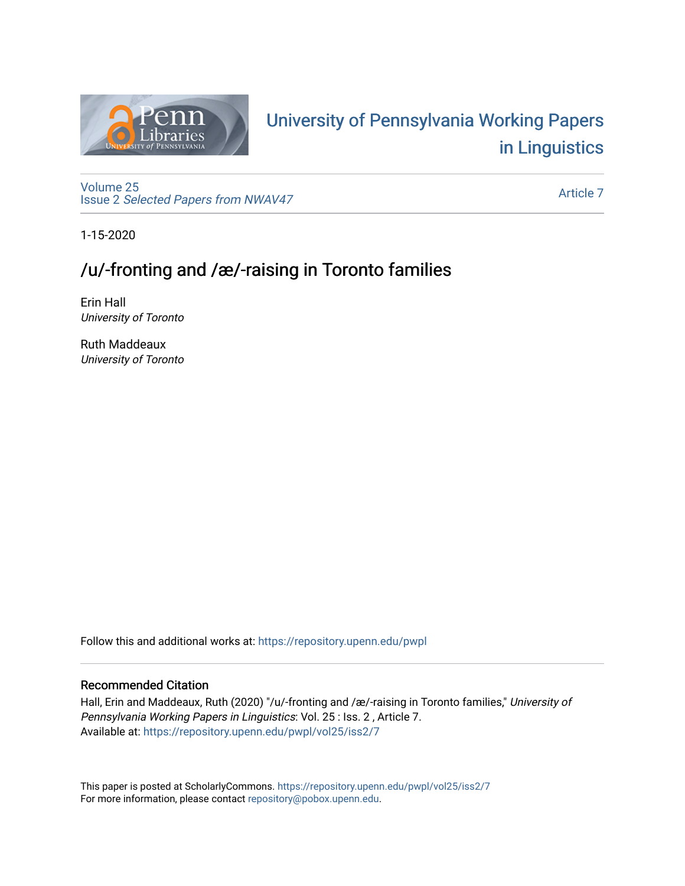

# University of P[ennsylvania Working P](https://repository.upenn.edu/pwpl)apers [in Linguistics](https://repository.upenn.edu/pwpl)

[Volume 25](https://repository.upenn.edu/pwpl/vol25) Issue 2 [Selected Papers from NWAV47](https://repository.upenn.edu/pwpl/vol25/iss2)

[Article 7](https://repository.upenn.edu/pwpl/vol25/iss2/7) 

1-15-2020

# /u/-fronting and /æ/-raising in Toronto families

Erin Hall University of Toronto

Ruth Maddeaux University of Toronto

Follow this and additional works at: [https://repository.upenn.edu/pwpl](https://repository.upenn.edu/pwpl?utm_source=repository.upenn.edu%2Fpwpl%2Fvol25%2Fiss2%2F7&utm_medium=PDF&utm_campaign=PDFCoverPages) 

# Recommended Citation

Hall, Erin and Maddeaux, Ruth (2020) "/u/-fronting and /æ/-raising in Toronto families," University of Pennsylvania Working Papers in Linguistics: Vol. 25 : Iss. 2 , Article 7. Available at: [https://repository.upenn.edu/pwpl/vol25/iss2/7](https://repository.upenn.edu/pwpl/vol25/iss2/7?utm_source=repository.upenn.edu%2Fpwpl%2Fvol25%2Fiss2%2F7&utm_medium=PDF&utm_campaign=PDFCoverPages) 

This paper is posted at ScholarlyCommons.<https://repository.upenn.edu/pwpl/vol25/iss2/7> For more information, please contact [repository@pobox.upenn.edu.](mailto:repository@pobox.upenn.edu)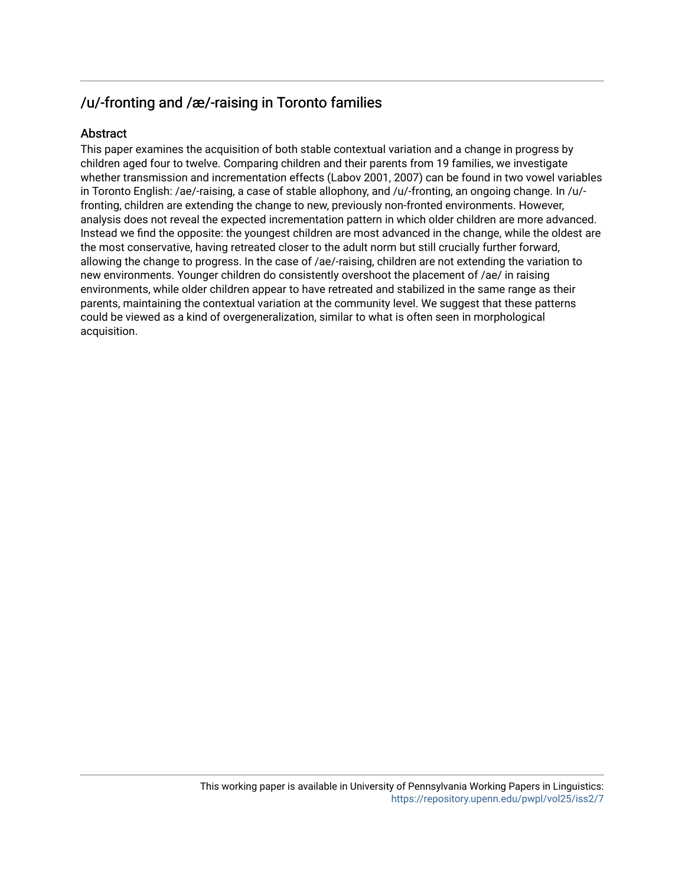# /u/-fronting and /æ/-raising in Toronto families

# Abstract

This paper examines the acquisition of both stable contextual variation and a change in progress by children aged four to twelve. Comparing children and their parents from 19 families, we investigate whether transmission and incrementation effects (Labov 2001, 2007) can be found in two vowel variables in Toronto English: /ae/-raising, a case of stable allophony, and /u/-fronting, an ongoing change. In /u/ fronting, children are extending the change to new, previously non-fronted environments. However, analysis does not reveal the expected incrementation pattern in which older children are more advanced. Instead we find the opposite: the youngest children are most advanced in the change, while the oldest are the most conservative, having retreated closer to the adult norm but still crucially further forward, allowing the change to progress. In the case of /ae/-raising, children are not extending the variation to new environments. Younger children do consistently overshoot the placement of /ae/ in raising environments, while older children appear to have retreated and stabilized in the same range as their parents, maintaining the contextual variation at the community level. We suggest that these patterns could be viewed as a kind of overgeneralization, similar to what is often seen in morphological acquisition.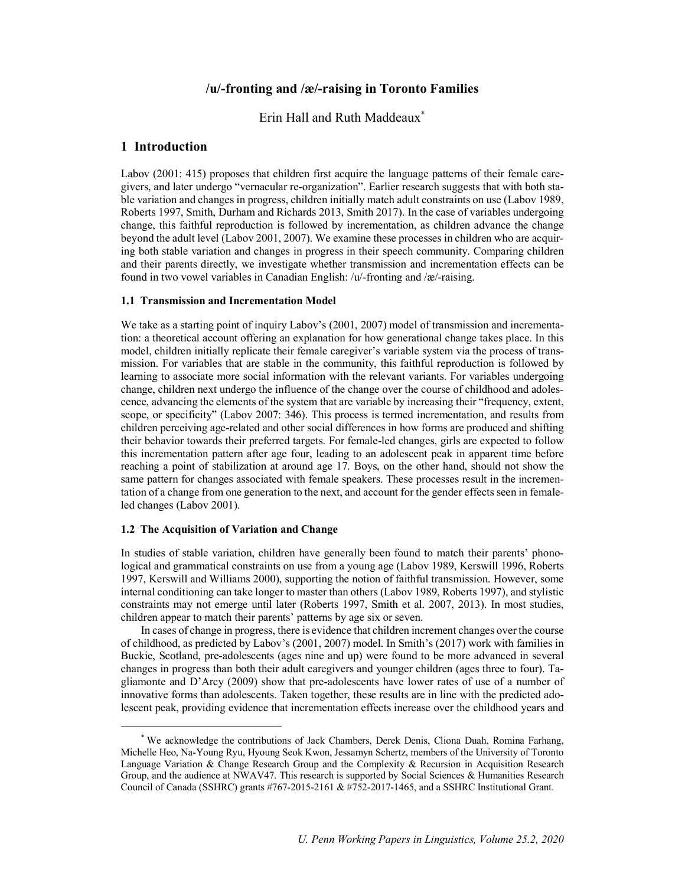# **/u/-fronting and /æ/-raising in Toronto Families**

Erin Hall and Ruth Maddeaux\*

# **1 Introduction**

Labov (2001: 415) proposes that children first acquire the language patterns of their female caregivers, and later undergo "vernacular re-organization". Earlier research suggests that with both stable variation and changes in progress, children initially match adult constraints on use (Labov 1989, Roberts 1997, Smith, Durham and Richards 2013, Smith 2017). In the case of variables undergoing change, this faithful reproduction is followed by incrementation, as children advance the change beyond the adult level (Labov 2001, 2007). We examine these processes in children who are acquiring both stable variation and changes in progress in their speech community. Comparing children and their parents directly, we investigate whether transmission and incrementation effects can be found in two vowel variables in Canadian English: /u/-fronting and /æ/-raising.

## **1.1 Transmission and Incrementation Model**

We take as a starting point of inquiry Labov's (2001, 2007) model of transmission and incrementation: a theoretical account offering an explanation for how generational change takes place. In this model, children initially replicate their female caregiver's variable system via the process of transmission. For variables that are stable in the community, this faithful reproduction is followed by learning to associate more social information with the relevant variants. For variables undergoing change, children next undergo the influence of the change over the course of childhood and adolescence, advancing the elements of the system that are variable by increasing their "frequency, extent, scope, or specificity" (Labov 2007: 346). This process is termed incrementation, and results from children perceiving age-related and other social differences in how forms are produced and shifting their behavior towards their preferred targets. For female-led changes, girls are expected to follow this incrementation pattern after age four, leading to an adolescent peak in apparent time before reaching a point of stabilization at around age 17. Boys, on the other hand, should not show the same pattern for changes associated with female speakers. These processes result in the incrementation of a change from one generation to the next, and account for the gender effects seen in femaleled changes (Labov 2001).

## **1.2 The Acquisition of Variation and Change**

In studies of stable variation, children have generally been found to match their parents' phonological and grammatical constraints on use from a young age (Labov 1989, Kerswill 1996, Roberts 1997, Kerswill and Williams 2000), supporting the notion of faithful transmission. However, some internal conditioning can take longer to master than others (Labov 1989, Roberts 1997), and stylistic constraints may not emerge until later (Roberts 1997, Smith et al. 2007, 2013). In most studies, children appear to match their parents' patterns by age six or seven.

In cases of change in progress, there is evidence that children increment changes over the course of childhood, as predicted by Labov's (2001, 2007) model. In Smith's (2017) work with families in Buckie, Scotland, pre-adolescents (ages nine and up) were found to be more advanced in several changes in progress than both their adult caregivers and younger children (ages three to four). Tagliamonte and D'Arcy (2009) show that pre-adolescents have lower rates of use of a number of innovative forms than adolescents. Taken together, these results are in line with the predicted adolescent peak, providing evidence that incrementation effects increase over the childhood years and

 <sup>\*</sup> We acknowledge the contributions of Jack Chambers, Derek Denis, Cliona Duah, Romina Farhang, Michelle Heo, Na-Young Ryu, Hyoung Seok Kwon, Jessamyn Schertz, members of the University of Toronto Language Variation & Change Research Group and the Complexity & Recursion in Acquisition Research Group, and the audience at NWAV47. This research is supported by Social Sciences & Humanities Research Council of Canada (SSHRC) grants #767-2015-2161 & #752-2017-1465, and a SSHRC Institutional Grant.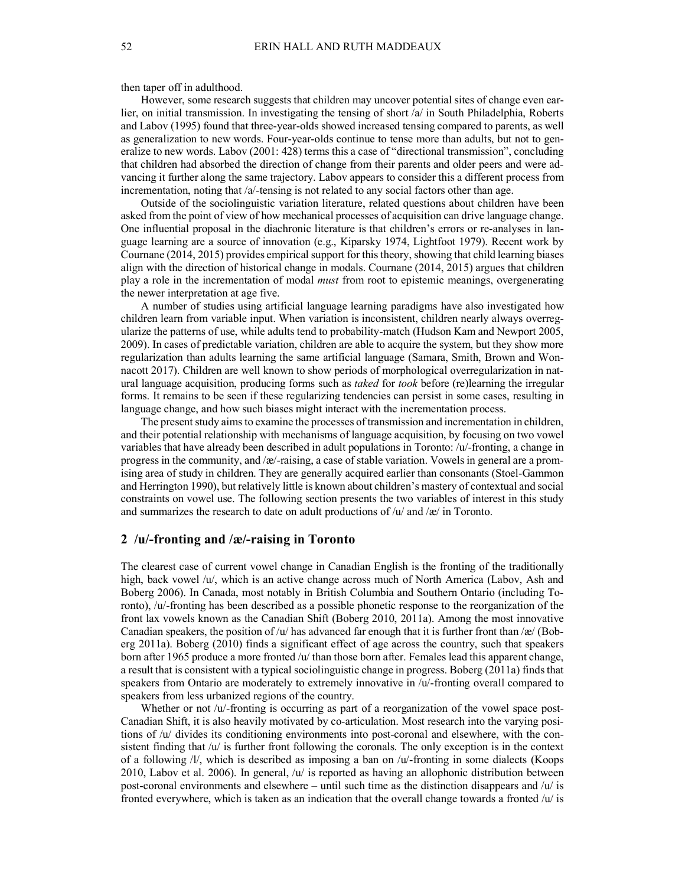then taper off in adulthood.

However, some research suggests that children may uncover potential sites of change even earlier, on initial transmission. In investigating the tensing of short /a/ in South Philadelphia, Roberts and Labov (1995) found that three-year-olds showed increased tensing compared to parents, as well as generalization to new words. Four-year-olds continue to tense more than adults, but not to generalize to new words. Labov (2001: 428) terms this a case of "directional transmission", concluding that children had absorbed the direction of change from their parents and older peers and were advancing it further along the same trajectory. Labov appears to consider this a different process from incrementation, noting that /a/-tensing is not related to any social factors other than age.

Outside of the sociolinguistic variation literature, related questions about children have been asked from the point of view of how mechanical processes of acquisition can drive language change. One influential proposal in the diachronic literature is that children's errors or re-analyses in language learning are a source of innovation (e.g., Kiparsky 1974, Lightfoot 1979). Recent work by Cournane (2014, 2015) provides empirical support for thistheory, showing that child learning biases align with the direction of historical change in modals. Cournane (2014, 2015) argues that children play a role in the incrementation of modal *must* from root to epistemic meanings, overgenerating the newer interpretation at age five.

A number of studies using artificial language learning paradigms have also investigated how children learn from variable input. When variation is inconsistent, children nearly always overregularize the patterns of use, while adults tend to probability-match (Hudson Kam and Newport 2005, 2009). In cases of predictable variation, children are able to acquire the system, but they show more regularization than adults learning the same artificial language (Samara, Smith, Brown and Wonnacott 2017). Children are well known to show periods of morphological overregularization in natural language acquisition, producing forms such as *taked* for *took* before (re)learning the irregular forms. It remains to be seen if these regularizing tendencies can persist in some cases, resulting in language change, and how such biases might interact with the incrementation process.

The present study aims to examine the processes of transmission and incrementation in children, and their potential relationship with mechanisms of language acquisition, by focusing on two vowel variables that have already been described in adult populations in Toronto: /u/-fronting, a change in progress in the community, and  $\alpha$ -raising, a case of stable variation. Vowels in general are a promising area of study in children. They are generally acquired earlier than consonants (Stoel-Gammon and Herrington 1990), but relatively little is known about children's mastery of contextual and social constraints on vowel use. The following section presents the two variables of interest in this study and summarizes the research to date on adult productions of  $/u$  and  $/\mathcal{R}$  in Toronto.

## **2 /u/-fronting and /æ/-raising in Toronto**

The clearest case of current vowel change in Canadian English is the fronting of the traditionally high, back vowel /u/, which is an active change across much of North America (Labov, Ash and Boberg 2006). In Canada, most notably in British Columbia and Southern Ontario (including Toronto), /u/-fronting has been described as a possible phonetic response to the reorganization of the front lax vowels known as the Canadian Shift (Boberg 2010, 2011a). Among the most innovative Canadian speakers, the position of /u/ has advanced far enough that it is further front than /æ/ (Boberg 2011a). Boberg (2010) finds a significant effect of age across the country, such that speakers born after 1965 produce a more fronted /u/ than those born after. Females lead this apparent change, a result that is consistent with a typical sociolinguistic change in progress. Boberg (2011a) finds that speakers from Ontario are moderately to extremely innovative in /u/-fronting overall compared to speakers from less urbanized regions of the country.

Whether or not /u/-fronting is occurring as part of a reorganization of the vowel space post-Canadian Shift, it is also heavily motivated by co-articulation. Most research into the varying positions of /u/ divides its conditioning environments into post-coronal and elsewhere, with the consistent finding that  $/u'$  is further front following the coronals. The only exception is in the context of a following  $/1/$ , which is described as imposing a ban on  $/1/$ -fronting in some dialects (Koops 2010, Labov et al. 2006). In general, /u/ is reported as having an allophonic distribution between post-coronal environments and elsewhere – until such time as the distinction disappears and  $/u$  is fronted everywhere, which is taken as an indication that the overall change towards a fronted  $/u$  is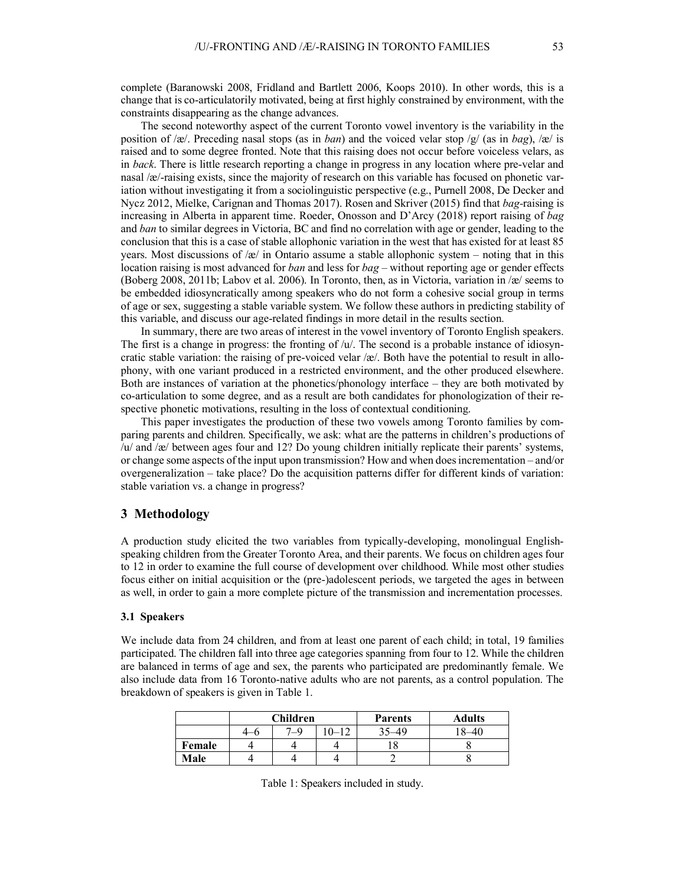complete (Baranowski 2008, Fridland and Bartlett 2006, Koops 2010). In other words, this is a change that is co-articulatorily motivated, being at first highly constrained by environment, with the constraints disappearing as the change advances.

The second noteworthy aspect of the current Toronto vowel inventory is the variability in the position of /æ/. Preceding nasal stops (as in *ban*) and the voiced velar stop /g/ (as in *bag*), /æ/ is raised and to some degree fronted. Note that this raising does not occur before voiceless velars, as in *back*. There is little research reporting a change in progress in any location where pre-velar and nasal /æ/-raising exists, since the majority of research on this variable has focused on phonetic variation without investigating it from a sociolinguistic perspective (e.g., Purnell 2008, De Decker and Nycz 2012, Mielke, Carignan and Thomas 2017). Rosen and Skriver (2015) find that *bag-*raising is increasing in Alberta in apparent time. Roeder, Onosson and D'Arcy (2018) report raising of *bag* and *ban* to similar degrees in Victoria, BC and find no correlation with age or gender, leading to the conclusion that this is a case of stable allophonic variation in the west that has existed for at least 85 years. Most discussions of /æ/ in Ontario assume a stable allophonic system – noting that in this location raising is most advanced for *ban* and less for *bag* – without reporting age or gender effects (Boberg 2008, 2011b; Labov et al. 2006). In Toronto, then, as in Victoria, variation in /æ/ seems to be embedded idiosyncratically among speakers who do not form a cohesive social group in terms of age or sex, suggesting a stable variable system. We follow these authors in predicting stability of this variable, and discuss our age-related findings in more detail in the results section.

In summary, there are two areas of interest in the vowel inventory of Toronto English speakers. The first is a change in progress: the fronting of  $/u'$ . The second is a probable instance of idiosyncratic stable variation: the raising of pre-voiced velar /æ/. Both have the potential to result in allophony, with one variant produced in a restricted environment, and the other produced elsewhere. Both are instances of variation at the phonetics/phonology interface – they are both motivated by co-articulation to some degree, and as a result are both candidates for phonologization of their respective phonetic motivations, resulting in the loss of contextual conditioning.

This paper investigates the production of these two vowels among Toronto families by comparing parents and children. Specifically, we ask: what are the patterns in children's productions of /u/ and /æ/ between ages four and 12? Do young children initially replicate their parents' systems, or change some aspects of the input upon transmission? How and when does incrementation – and/or overgeneralization – take place? Do the acquisition patterns differ for different kinds of variation: stable variation vs. a change in progress?

# **3 Methodology**

A production study elicited the two variables from typically-developing, monolingual Englishspeaking children from the Greater Toronto Area, and their parents. We focus on children ages four to 12 in order to examine the full course of development over childhood. While most other studies focus either on initial acquisition or the (pre-)adolescent periods, we targeted the ages in between as well, in order to gain a more complete picture of the transmission and incrementation processes.

#### **3.1 Speakers**

We include data from 24 children, and from at least one parent of each child; in total, 19 families participated. The children fall into three age categories spanning from four to 12. While the children are balanced in terms of age and sex, the parents who participated are predominantly female. We also include data from 16 Toronto-native adults who are not parents, as a control population. The breakdown of speakers is given in Table 1.

|        | Children |             |            | <b>Parents</b> | Adults |
|--------|----------|-------------|------------|----------------|--------|
|        |          | $7\_\Omega$ | 0.12<br>ı— | $\Box$ 40      | I O    |
| Female |          |             |            |                |        |
| Male   |          |             |            |                |        |

Table 1: Speakers included in study.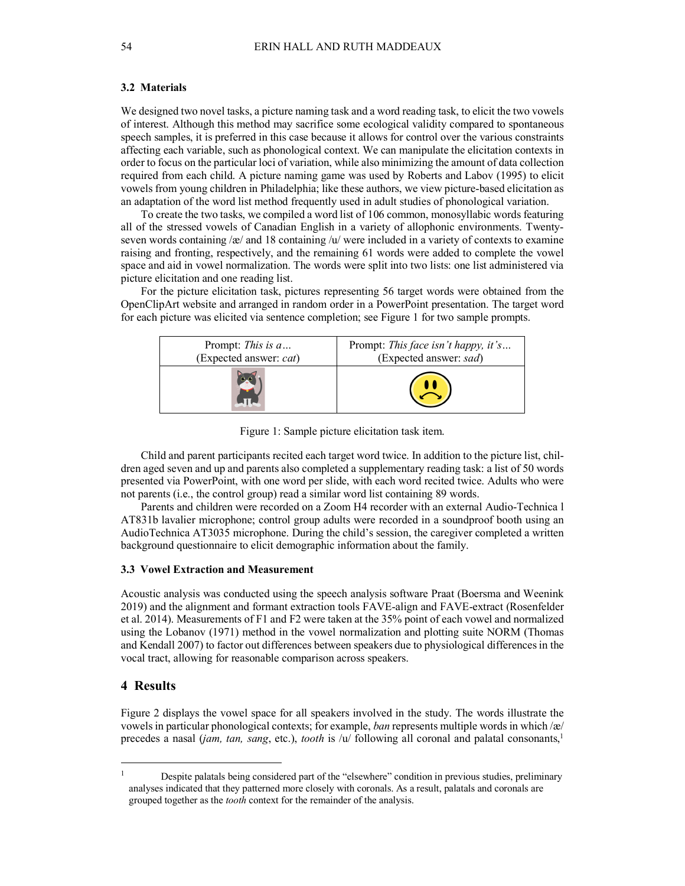# **3.2 Materials**

We designed two novel tasks, a picture naming task and a word reading task, to elicit the two vowels of interest. Although this method may sacrifice some ecological validity compared to spontaneous speech samples, it is preferred in this case because it allows for control over the various constraints affecting each variable, such as phonological context. We can manipulate the elicitation contexts in order to focus on the particular loci of variation, while also minimizing the amount of data collection required from each child. A picture naming game was used by Roberts and Labov (1995) to elicit vowels from young children in Philadelphia; like these authors, we view picture-based elicitation as an adaptation of the word list method frequently used in adult studies of phonological variation.

To create the two tasks, we compiled a word list of 106 common, monosyllabic words featuring all of the stressed vowels of Canadian English in a variety of allophonic environments. Twentyseven words containing  $\alpha$  and 18 containing  $\alpha$  were included in a variety of contexts to examine raising and fronting, respectively, and the remaining 61 words were added to complete the vowel space and aid in vowel normalization. The words were split into two lists: one list administered via picture elicitation and one reading list.

For the picture elicitation task, pictures representing 56 target words were obtained from the OpenClipArt website and arranged in random order in a PowerPoint presentation. The target word for each picture was elicited via sentence completion; see Figure 1 for two sample prompts.

| Prompt: This is $a$            | Prompt: This face isn't happy, it's |
|--------------------------------|-------------------------------------|
| (Expected answer: <i>cat</i> ) | (Expected answer: sad)              |
|                                |                                     |

Figure 1: Sample picture elicitation task item.

Child and parent participants recited each target word twice. In addition to the picture list, children aged seven and up and parents also completed a supplementary reading task: a list of 50 words presented via PowerPoint, with one word per slide, with each word recited twice. Adults who were not parents (i.e., the control group) read a similar word list containing 89 words.

Parents and children were recorded on a Zoom H4 recorder with an external Audio-Technica l AT831b lavalier microphone; control group adults were recorded in a soundproof booth using an AudioTechnica AT3035 microphone. During the child's session, the caregiver completed a written background questionnaire to elicit demographic information about the family.

#### **3.3 Vowel Extraction and Measurement**

Acoustic analysis was conducted using the speech analysis software Praat (Boersma and Weenink 2019) and the alignment and formant extraction tools FAVE-align and FAVE-extract (Rosenfelder et al. 2014). Measurements of F1 and F2 were taken at the 35% point of each vowel and normalized using the Lobanov (1971) method in the vowel normalization and plotting suite NORM (Thomas and Kendall 2007) to factor out differences between speakers due to physiological differences in the vocal tract, allowing for reasonable comparison across speakers.

## **4 Results**

Figure 2 displays the vowel space for all speakers involved in the study. The words illustrate the vowels in particular phonological contexts; for example, *ban* represents multiple words in which /æ/ precedes a nasal (*jam, tan, sang*, etc.), *tooth* is /u/ following all coronal and palatal consonants, 1

<sup>&</sup>lt;sup>1</sup> Despite palatals being considered part of the "elsewhere" condition in previous studies, preliminary analyses indicated that they patterned more closely with coronals. As a result, palatals and coronals are grouped together as the *tooth* context for the remainder of the analysis.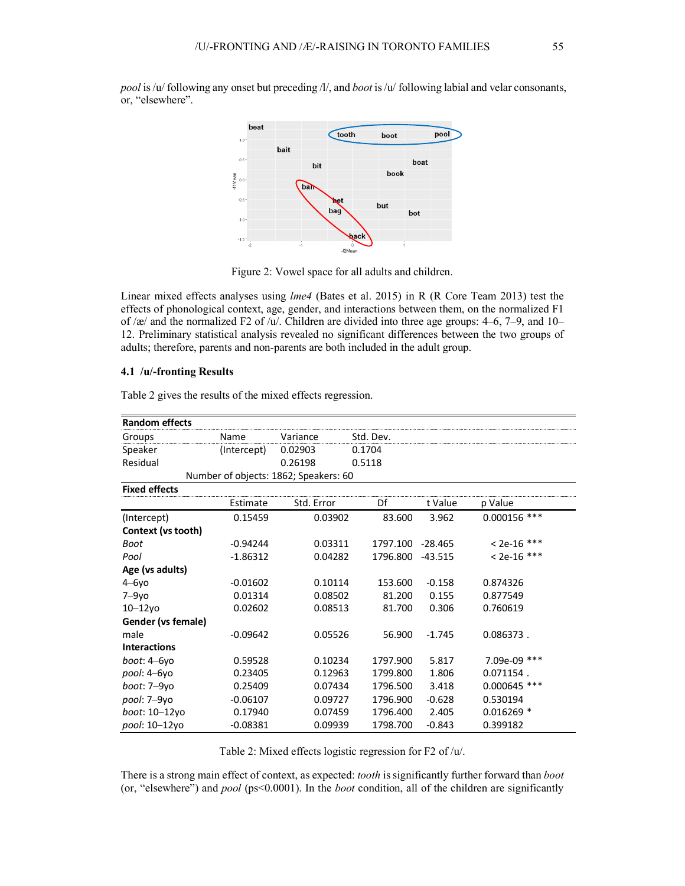*pool* is /u/ following any onset but preceding /l/, and *boot* is/u/ following labial and velar consonants,

or, "elsewhere". beat Ctooth pool boot hait  $0.5$ boat bit book 1Mean  $00$ bar  $0.5$ but bag bot  $-1.5$ .<br>2Mean+

Figure 2: Vowel space for all adults and children.

Linear mixed effects analyses using *lme4* (Bates et al. 2015) in R (R Core Team 2013) test the effects of phonological context, age, gender, and interactions between them, on the normalized F1 of /æ/ and the normalized F2 of /u/. Children are divided into three age groups:  $4-6$ ,  $7-9$ , and  $10-$ 12. Preliminary statistical analysis revealed no significant differences between the two groups of adults; therefore, parents and non-parents are both included in the adult group.

#### **4.1 /u/-fronting Results**

**Random effects** Groups Mame Variance Std. Dev. Speaker (Intercept) 0.02903 0.1704 Residual 0.26198 0.5118 Number of objects: 1862; Speakers: 60 **Fixed effects** Estimate Std. Error Df t Value p Value (Intercept) 0.15459 0.03902 83.600 3.962 0.000156 \*\*\* **Context (vs tooth)** *Boot* -0.94244 0.03311 1797.100 -28.465 < 2e-16 \*\*\* *Pool* -1.86312 0.04282 1796.800 -43.515 < 2e-16 \*\*\* **Age (vs adults)** 4–6yo -0.01602 0.10114 153.600 -0.158 0.874326 7–9yo 0.01314 0.08502 81.200 0.155 0.877549 10–12yo 0.02602 0.08513 81.700 0.306 0.760619 **Gender (vs female)** male -0.09642 0.05526 56.900 -1.745 0.086373 . **Interactions** *boot*: 4–6yo 0.59528 0.10234 1797.900 5.817 7.09e-09 \*\*\* *pool*: 4–6yo 0.23405 0.12963 1799.800 1.806 0.071154 . *boot*: 7–9yo 0.25409 0.07434 1796.500 3.418 0.000645 \*\*\* *pool*: 7–9yo -0.06107 0.09727 1796.900 -0.628 0.530194 *boot*: 10–12yo 0.17940 0.07459 1796.400 2.405 0.016269 \* *pool*: 10–12yo -0.08381 0.09939 1798.700 -0.843 0.399182

Table 2 gives the results of the mixed effects regression.

Table 2: Mixed effects logistic regression for F2 of /u/.

There is a strong main effect of context, as expected: *tooth* is significantly further forward than *boot* (or, "elsewhere") and *pool* (ps<0.0001). In the *boot* condition, all of the children are significantly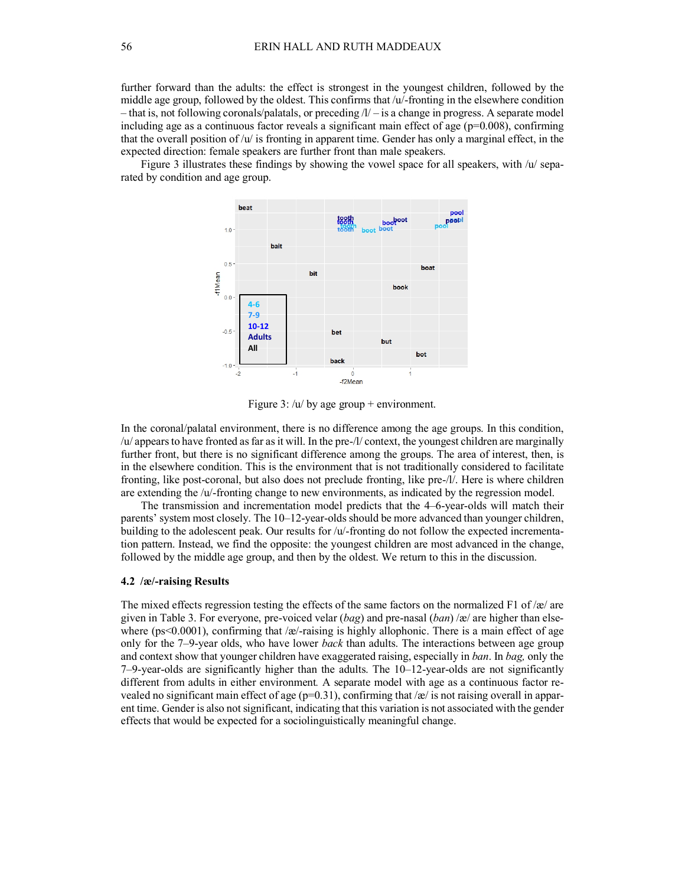further forward than the adults: the effect is strongest in the youngest children, followed by the middle age group, followed by the oldest. This confirms that /u/-fronting in the elsewhere condition – that is, not following coronals/palatals, or preceding  $/l$  – is a change in progress. A separate model including age as a continuous factor reveals a significant main effect of age  $(p=0.008)$ , confirming that the overall position of  $/u'$  is fronting in apparent time. Gender has only a marginal effect, in the expected direction: female speakers are further front than male speakers.

Figure 3 illustrates these findings by showing the vowel space for all speakers, with /u/ separated by condition and age group.



Figure 3:  $/u$  by age group + environment.

In the coronal/palatal environment, there is no difference among the age groups. In this condition, /u/ appears to have fronted as far as it will. In the pre-/l/ context, the youngest children are marginally further front, but there is no significant difference among the groups. The area of interest, then, is in the elsewhere condition. This is the environment that is not traditionally considered to facilitate fronting, like post-coronal, but also does not preclude fronting, like pre-/l/. Here is where children are extending the /u/-fronting change to new environments, as indicated by the regression model.

The transmission and incrementation model predicts that the 4–6-year-olds will match their parents' system most closely. The 10–12-year-olds should be more advanced than younger children, building to the adolescent peak. Our results for /u/-fronting do not follow the expected incrementation pattern. Instead, we find the opposite: the youngest children are most advanced in the change, followed by the middle age group, and then by the oldest. We return to this in the discussion.

#### **4.2 /æ/-raising Results**

The mixed effects regression testing the effects of the same factors on the normalized F1 of /æ/ are given in Table 3. For everyone, pre-voiced velar (*bag*) and pre-nasal (*ban*) /æ/ are higher than elsewhere (ps<0.0001), confirming that /æ/-raising is highly allophonic. There is a main effect of age only for the 7–9-year olds, who have lower *back* than adults. The interactions between age group and context show that younger children have exaggerated raising, especially in *ban*. In *bag,* only the 7–9-year-olds are significantly higher than the adults. The 10–12-year-olds are not significantly different from adults in either environment*.* A separate model with age as a continuous factor revealed no significant main effect of age ( $p=0.31$ ), confirming that /æ/ is not raising overall in apparent time. Gender is also not significant, indicating that this variation is not associated with the gender effects that would be expected for a sociolinguistically meaningful change.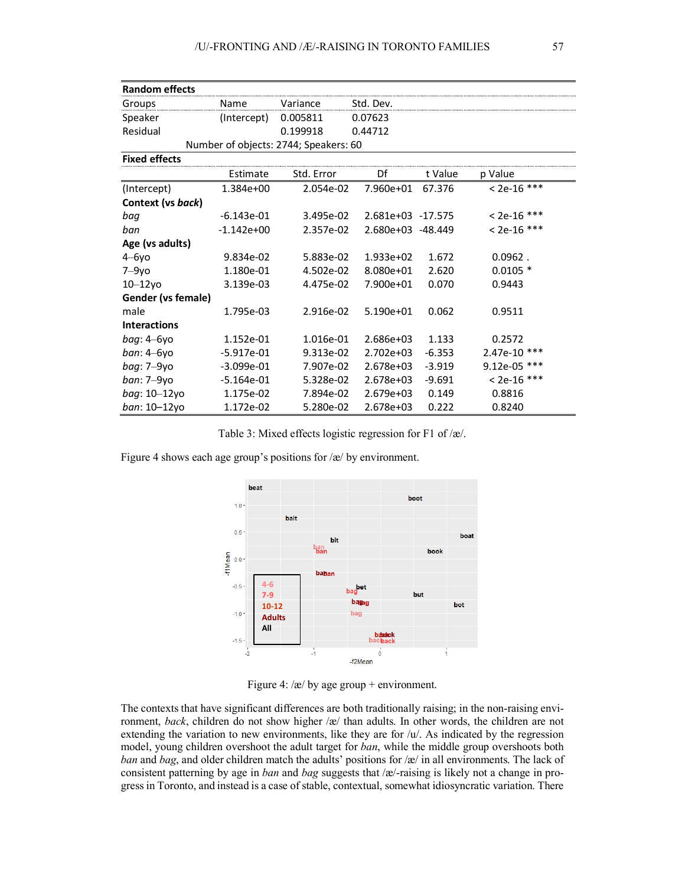| <b>Random effects</b>                 |              |            |                   |          |                  |  |  |  |  |  |
|---------------------------------------|--------------|------------|-------------------|----------|------------------|--|--|--|--|--|
| Groups                                | Name         | Variance   | Std. Dev.         |          |                  |  |  |  |  |  |
| Speaker                               | (Intercept)  | 0.005811   | 0.07623           |          |                  |  |  |  |  |  |
| Residual                              |              | 0.199918   | 0.44712           |          |                  |  |  |  |  |  |
| Number of objects: 2744; Speakers: 60 |              |            |                   |          |                  |  |  |  |  |  |
| <b>Fixed effects</b>                  |              |            |                   |          |                  |  |  |  |  |  |
|                                       | Estimate     | Std. Error | Df                | t Value  | p Value          |  |  |  |  |  |
| (Intercept)                           | 1.384e+00    | 2.054e-02  | 7.960e+01         | 67.376   | $< 2e-16$ ***    |  |  |  |  |  |
| Context (vs back)                     |              |            |                   |          |                  |  |  |  |  |  |
| bag                                   | $-6.143e-01$ | 3.495e-02  | 2.681e+03 -17.575 |          | $< 2e-16$ ***    |  |  |  |  |  |
| ban                                   | $-1.142e+00$ | 2.357e-02  | 2.680e+03 -48.449 |          | ***<br>$< 2e-16$ |  |  |  |  |  |
| Age (vs adults)                       |              |            |                   |          |                  |  |  |  |  |  |
| $4 - 6y$ o                            | 9.834e-02    | 5.883e-02  | 1.933e+02         | 1.672    | $0.0962$ .       |  |  |  |  |  |
| $7 - 9y$ o                            | 1.180e-01    | 4.502e-02  | 8.080e+01         | 2.620    | $0.0105$ *       |  |  |  |  |  |
| $10 - 12y$ o                          | 3.139e-03    | 4.475e-02  | 7.900e+01         | 0.070    | 0.9443           |  |  |  |  |  |
| Gender (vs female)                    |              |            |                   |          |                  |  |  |  |  |  |
| male                                  | 1.795e-03    | 2.916e-02  | $5.190e + 01$     | 0.062    | 0.9511           |  |  |  |  |  |
| <b>Interactions</b>                   |              |            |                   |          |                  |  |  |  |  |  |
| <i>bag</i> : 4–6yo                    | 1.152e-01    | 1.016e-01  | 2.686e+03         | 1.133    | 0.2572           |  |  |  |  |  |
| <i>ban</i> : 4–6yo                    | $-5.917e-01$ | 9.313e-02  | $2.702e + 03$     | $-6.353$ | ***<br>2.47e-10  |  |  |  |  |  |
| bag: 7-9yo                            | $-3.099e-01$ | 7.907e-02  | 2.678e+03         | $-3.919$ | ***<br>9.12e-05  |  |  |  |  |  |
| ban: 7–9yo                            | $-5.164e-01$ | 5.328e-02  | 2.678e+03         | $-9.691$ | $< 2e-16$ ***    |  |  |  |  |  |
| <i>bag</i> : 10–12yo                  | 1.175e-02    | 7.894e-02  | 2.679e+03         | 0.149    | 0.8816           |  |  |  |  |  |
| ban: 10-12yo                          | 1.172e-02    | 5.280e-02  | 2.678e+03         | 0.222    | 0.8240           |  |  |  |  |  |

Table 3: Mixed effects logistic regression for F1 of /æ/.

Figure 4 shows each age group's positions for /æ/ by environment.



Figure 4: /æ/ by age group + environment.

The contexts that have significant differences are both traditionally raising; in the non-raising environment, *back*, children do not show higher /æ/ than adults. In other words, the children are not extending the variation to new environments, like they are for  $/u'$ . As indicated by the regression model, young children overshoot the adult target for *ban*, while the middle group overshoots both *ban* and *bag*, and older children match the adults' positions for /æ/ in all environments. The lack of consistent patterning by age in *ban* and *bag* suggests that /æ/-raising is likely not a change in progress in Toronto, and instead is a case of stable, contextual, somewhat idiosyncratic variation. There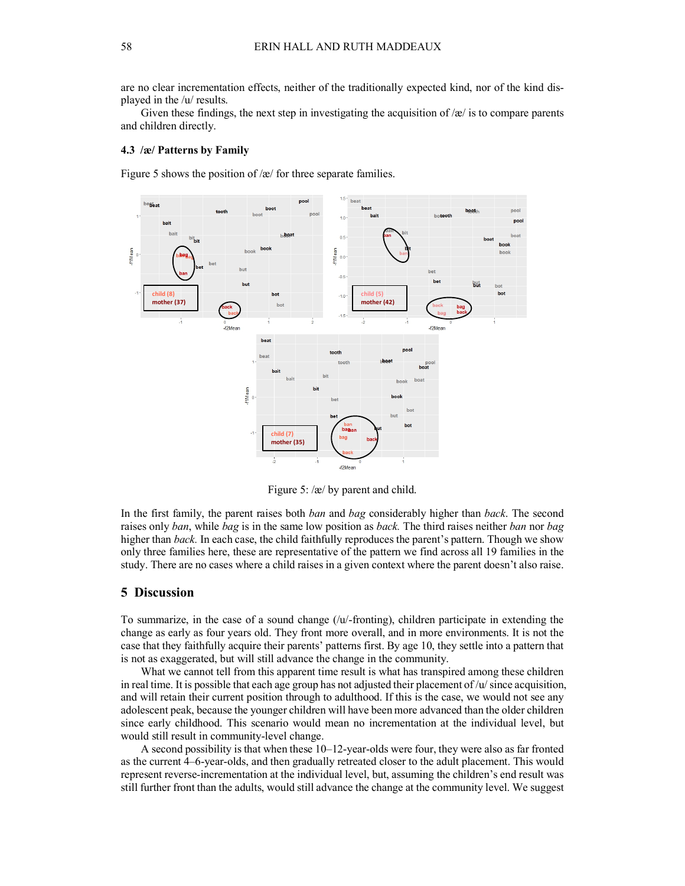are no clear incrementation effects, neither of the traditionally expected kind, nor of the kind displayed in the /u/ results.

Given these findings, the next step in investigating the acquisition of  $\alpha$  is to compare parents and children directly.

#### **4.3 /æ/ Patterns by Family**

Figure 5 shows the position of  $\alpha$  for three separate families.



Figure 5: /æ/ by parent and child.

In the first family, the parent raises both *ban* and *bag* considerably higher than *back*. The second raises only *ban*, while *bag* is in the same low position as *back.* The third raises neither *ban* nor *bag*  higher than *back.* In each case, the child faithfully reproduces the parent's pattern. Though we show only three families here, these are representative of the pattern we find across all 19 families in the study. There are no cases where a child raises in a given context where the parent doesn't also raise.

### **5 Discussion**

To summarize, in the case of a sound change  $/(u)$ -fronting), children participate in extending the change as early as four years old. They front more overall, and in more environments. It is not the case that they faithfully acquire their parents' patterns first. By age 10, they settle into a pattern that is not as exaggerated, but will still advance the change in the community.

What we cannot tell from this apparent time result is what has transpired among these children in real time. It is possible that each age group has not adjusted their placement of  $/u'$  since acquisition, and will retain their current position through to adulthood. If this is the case, we would not see any adolescent peak, because the younger children will have been more advanced than the older children since early childhood. This scenario would mean no incrementation at the individual level, but would still result in community-level change.

A second possibility is that when these 10–12-year-olds were four, they were also as far fronted as the current 4–6-year-olds, and then gradually retreated closer to the adult placement. This would represent reverse-incrementation at the individual level, but, assuming the children's end result was still further front than the adults, would still advance the change at the community level. We suggest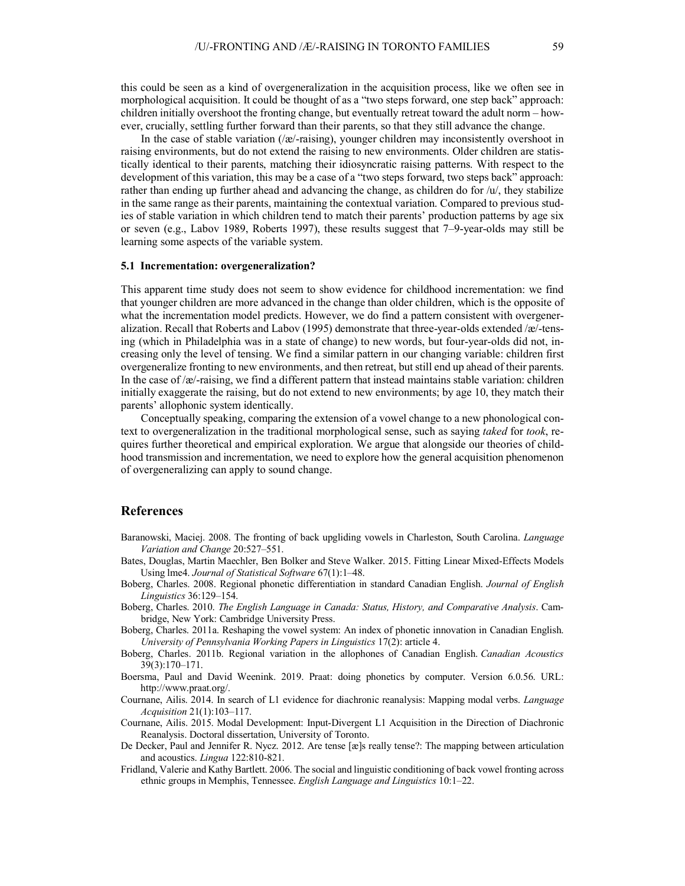this could be seen as a kind of overgeneralization in the acquisition process, like we often see in morphological acquisition. It could be thought of as a "two steps forward, one step back" approach: children initially overshoot the fronting change, but eventually retreat toward the adult norm – however, crucially, settling further forward than their parents, so that they still advance the change.

In the case of stable variation (/æ/-raising), younger children may inconsistently overshoot in raising environments, but do not extend the raising to new environments. Older children are statistically identical to their parents, matching their idiosyncratic raising patterns. With respect to the development of this variation, this may be a case of a "two steps forward, two steps back" approach: rather than ending up further ahead and advancing the change, as children do for  $/u'$ , they stabilize in the same range as their parents, maintaining the contextual variation. Compared to previous studies of stable variation in which children tend to match their parents' production patterns by age six or seven (e.g., Labov 1989, Roberts 1997), these results suggest that 7–9-year-olds may still be learning some aspects of the variable system.

#### **5.1 Incrementation: overgeneralization?**

This apparent time study does not seem to show evidence for childhood incrementation: we find that younger children are more advanced in the change than older children, which is the opposite of what the incrementation model predicts. However, we do find a pattern consistent with overgeneralization. Recall that Roberts and Labov (1995) demonstrate that three-year-olds extended /æ/-tensing (which in Philadelphia was in a state of change) to new words, but four-year-olds did not, increasing only the level of tensing. We find a similar pattern in our changing variable: children first overgeneralize fronting to new environments, and then retreat, but still end up ahead of their parents. In the case of /æ/-raising, we find a different pattern that instead maintains stable variation: children initially exaggerate the raising, but do not extend to new environments; by age 10, they match their parents' allophonic system identically.

Conceptually speaking, comparing the extension of a vowel change to a new phonological context to overgeneralization in the traditional morphological sense, such as saying *taked* for *took*, requires further theoretical and empirical exploration. We argue that alongside our theories of childhood transmission and incrementation, we need to explore how the general acquisition phenomenon of overgeneralizing can apply to sound change.

## **References**

- Baranowski, Maciej. 2008. The fronting of back upgliding vowels in Charleston, South Carolina. *Language Variation and Change* 20:527–551.
- Bates, Douglas, Martin Maechler, Ben Bolker and Steve Walker. 2015. Fitting Linear Mixed-Effects Models Using lme4. *Journal of Statistical Software* 67(1):1–48.
- Boberg, Charles. 2008. Regional phonetic differentiation in standard Canadian English. *Journal of English Linguistics* 36:129–154.
- Boberg, Charles. 2010. *The English Language in Canada: Status, History, and Comparative Analysis*. Cambridge, New York: Cambridge University Press.
- Boberg, Charles. 2011a. Reshaping the vowel system: An index of phonetic innovation in Canadian English. *University of Pennsylvania Working Papers in Linguistics* 17(2): article 4.
- Boberg, Charles. 2011b. Regional variation in the allophones of Canadian English. *Canadian Acoustics* 39(3):170–171.
- Boersma, Paul and David Weenink. 2019. Praat: doing phonetics by computer. Version 6.0.56. URL: http://www.praat.org/.
- Cournane, Ailis. 2014. In search of L1 evidence for diachronic reanalysis: Mapping modal verbs. *Language Acquisition* 21(1):103–117.
- Cournane, Ailis. 2015. Modal Development: Input-Divergent L1 Acquisition in the Direction of Diachronic Reanalysis. Doctoral dissertation, University of Toronto.
- De Decker, Paul and Jennifer R. Nycz. 2012. Are tense [æ]s really tense?: The mapping between articulation and acoustics. *Lingua* 122:810-821.
- Fridland, Valerie and Kathy Bartlett. 2006. The social and linguistic conditioning of back vowel fronting across ethnic groups in Memphis, Tennessee. *English Language and Linguistics* 10:1–22.